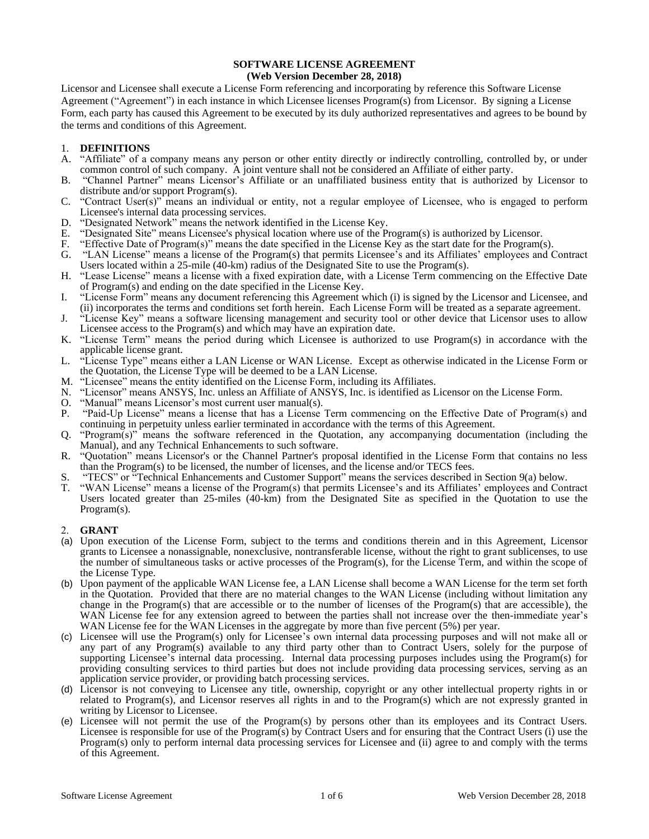# **SOFTWARE LICENSE AGREEMENT**

# **(Web Version December 28, 2018)**

Licensor and Licensee shall execute a License Form referencing and incorporating by reference this Software License Agreement ("Agreement") in each instance in which Licensee licenses Program(s) from Licensor. By signing a License Form, each party has caused this Agreement to be executed by its duly authorized representatives and agrees to be bound by the terms and conditions of this Agreement.

# 1. **DEFINITIONS**

- A. "Affiliate" of a company means any person or other entity directly or indirectly controlling, controlled by, or under common control of such company. A joint venture shall not be considered an Affiliate of either party.
- B. "Channel Partner" means Licensor's Affiliate or an unaffiliated business entity that is authorized by Licensor to distribute and/or support Program(s).
- C. "Contract User(s)" means an individual or entity, not a regular employee of Licensee, who is engaged to perform Licensee's internal data processing services.
- D. "Designated Network" means the network identified in the License Key.
- E. "Designated Site" means Licensee's physical location where use of the Program(s) is authorized by Licensor.
- F. "Effective Date of Program(s)" means the date specified in the License Key as the start date for the Program(s).
- G. "LAN License" means a license of the Program(s) that permits Licensee's and its Affiliates' employees and Contract Users located within a 25-mile (40-km) radius of the Designated Site to use the Program(s).
- H. "Lease License" means a license with a fixed expiration date, with a License Term commencing on the Effective Date of Program(s) and ending on the date specified in the License Key.
- I. "License Form" means any document referencing this Agreement which (i) is signed by the Licensor and Licensee, and (ii) incorporates the terms and conditions set forth herein. Each License Form will be treated as a separate agreement.
- J. "License Key" means a software licensing management and security tool or other device that Licensor uses to allow Licensee access to the Program(s) and which may have an expiration date.
- K. "License Term" means the period during which Licensee is authorized to use Program(s) in accordance with the applicable license grant.
- L. "License Type" means either a LAN License or WAN License. Except as otherwise indicated in the License Form or the Quotation, the License Type will be deemed to be a LAN License.
- M. "Licensee" means the entity identified on the License Form, including its Affiliates.
- N. "Licensor" means ANSYS, Inc. unless an Affiliate of ANSYS, Inc. is identified as Licensor on the License Form.
- O. "Manual" means Licensor's most current user manual(s).
- P. "Paid-Up License" means a license that has a License Term commencing on the Effective Date of Program(s) and continuing in perpetuity unless earlier terminated in accordance with the terms of this Agreement.
- Q. "Program(s)" means the software referenced in the Quotation, any accompanying documentation (including the Manual), and any Technical Enhancements to such software.
- R. "Quotation" means Licensor's or the Channel Partner's proposal identified in the License Form that contains no less than the Program(s) to be licensed, the number of licenses, and the license and/or TECS fees.
- S. "TECS" or "Technical Enhancements and Customer Support" means the services described in Section 9(a) below.<br>T. "WAN License" means a license of the Program(s) that permits Licensee's and its Affiliates' employees and Co
- "WAN License" means a license of the Program(s) that permits Licensee's and its Affiliates' employees and Contract Users located greater than 25-miles (40-km) from the Designated Site as specified in the Quotation to use the Program(s).

# 2. **GRANT**

- (a) Upon execution of the License Form, subject to the terms and conditions therein and in this Agreement, Licensor grants to Licensee a nonassignable, nonexclusive, nontransferable license, without the right to grant sublicenses, to use the number of simultaneous tasks or active processes of the Program(s), for the License Term, and within the scope of the License Type.
- (b) Upon payment of the applicable WAN License fee, a LAN License shall become a WAN License for the term set forth in the Quotation. Provided that there are no material changes to the WAN License (including without limitation any change in the Program(s) that are accessible or to the number of licenses of the Program(s) that are accessible), the WAN License fee for any extension agreed to between the parties shall not increase over the then-immediate year's WAN License fee for the WAN Licenses in the aggregate by more than five percent (5%) per year.
- (c) Licensee will use the Program(s) only for Licensee's own internal data processing purposes and will not make all or any part of any Program(s) available to any third party other than to Contract Users, solely for the purpose of supporting Licensee's internal data processing. Internal data processing purposes includes using the Program(s) for providing consulting services to third parties but does not include providing data processing services, serving as an application service provider, or providing batch processing services.
- (d) Licensor is not conveying to Licensee any title, ownership, copyright or any other intellectual property rights in or related to Program(s), and Licensor reserves all rights in and to the Program(s) which are not expressly granted in writing by Licensor to Licensee.
- (e) Licensee will not permit the use of the Program(s) by persons other than its employees and its Contract Users. Licensee is responsible for use of the Program(s) by Contract Users and for ensuring that the Contract Users (i) use the Program(s) only to perform internal data processing services for Licensee and (ii) agree to and comply with the terms of this Agreement.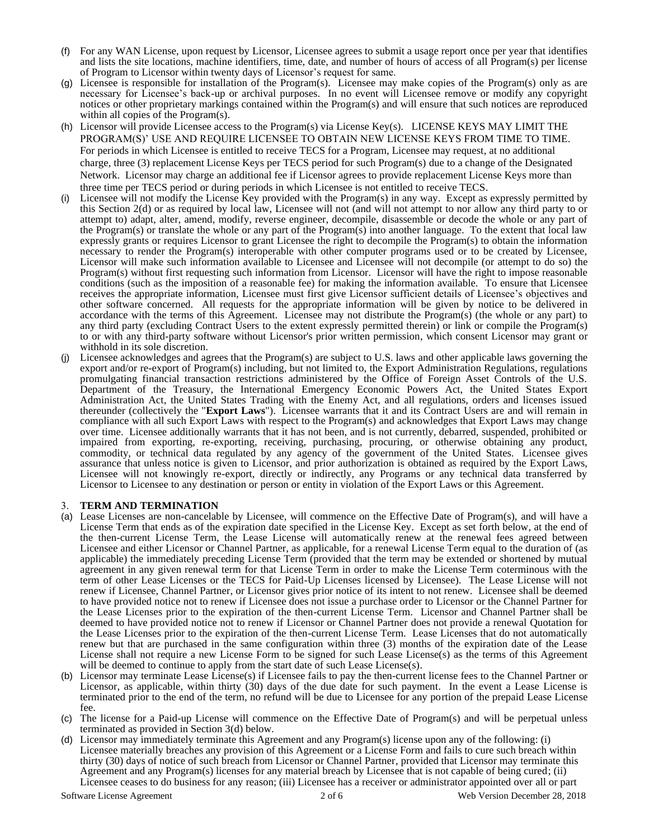- (f) For any WAN License, upon request by Licensor, Licensee agrees to submit a usage report once per year that identifies and lists the site locations, machine identifiers, time, date, and number of hours of access of all Program(s) per license of Program to Licensor within twenty days of Licensor's request for same.
- (g) Licensee is responsible for installation of the Program(s). Licensee may make copies of the Program(s) only as are necessary for Licensee's back-up or archival purposes. In no event will Licensee remove or modify any copyright notices or other proprietary markings contained within the Program(s) and will ensure that such notices are reproduced within all copies of the Program(s).
- (h) Licensor will provide Licensee access to the Program(s) via License Key(s). LICENSE KEYS MAY LIMIT THE PROGRAM(S)' USE AND REQUIRE LICENSEE TO OBTAIN NEW LICENSE KEYS FROM TIME TO TIME. For periods in which Licensee is entitled to receive TECS for a Program, Licensee may request, at no additional charge, three (3) replacement License Keys per TECS period for such Program(s) due to a change of the Designated Network. Licensor may charge an additional fee if Licensor agrees to provide replacement License Keys more than three time per TECS period or during periods in which Licensee is not entitled to receive TECS.
- (i) Licensee will not modify the License Key provided with the Program(s) in any way. Except as expressly permitted by this Section 2(d) or as required by local law, Licensee will not (and will not attempt to nor allow any third party to or attempt to) adapt, alter, amend, modify, reverse engineer, decompile, disassemble or decode the whole or any part of the Program(s) or translate the whole or any part of the Program(s) into another language. To the extent that local law expressly grants or requires Licensor to grant Licensee the right to decompile the Program(s) to obtain the information necessary to render the Program(s) interoperable with other computer programs used or to be created by Licensee, Licensor will make such information available to Licensee and Licensee will not decompile (or attempt to do so) the Program(s) without first requesting such information from Licensor. Licensor will have the right to impose reasonable conditions (such as the imposition of a reasonable fee) for making the information available. To ensure that Licensee receives the appropriate information, Licensee must first give Licensor sufficient details of Licensee's objectives and other software concerned. All requests for the appropriate information will be given by notice to be delivered in accordance with the terms of this Agreement. Licensee may not distribute the Program(s) (the whole or any part) to any third party (excluding Contract Users to the extent expressly permitted therein) or link or compile the Program(s) to or with any third-party software without Licensor's prior written permission, which consent Licensor may grant or withhold in its sole discretion.
- (j) Licensee acknowledges and agrees that the Program(s) are subject to U.S. laws and other applicable laws governing the export and/or re-export of Program(s) including, but not limited to, the Export Administration Regulations, regulations promulgating financial transaction restrictions administered by the Office of Foreign Asset Controls of the U.S. Department of the Treasury, the International Emergency Economic Powers Act, the United States Export Administration Act, the United States Trading with the Enemy Act, and all regulations, orders and licenses issued thereunder (collectively the "**Export Laws**"). Licensee warrants that it and its Contract Users are and will remain in compliance with all such Export Laws with respect to the Program(s) and acknowledges that Export Laws may change over time. Licensee additionally warrants that it has not been, and is not currently, debarred, suspended, prohibited or impaired from exporting, re-exporting, receiving, purchasing, procuring, or otherwise obtaining any product, commodity, or technical data regulated by any agency of the government of the United States. Licensee gives assurance that unless notice is given to Licensor, and prior authorization is obtained as required by the Export Laws, Licensee will not knowingly re-export, directly or indirectly, any Programs or any technical data transferred by Licensor to Licensee to any destination or person or entity in violation of the Export Laws or this Agreement.

# 3. **TERM AND TERMINATION**

- (a) Lease Licenses are non-cancelable by Licensee, will commence on the Effective Date of Program(s), and will have a License Term that ends as of the expiration date specified in the License Key. Except as set forth below, at the end of the then-current License Term, the Lease License will automatically renew at the renewal fees agreed between Licensee and either Licensor or Channel Partner, as applicable, for a renewal License Term equal to the duration of (as applicable) the immediately preceding License Term (provided that the term may be extended or shortened by mutual agreement in any given renewal term for that License Term in order to make the License Term coterminous with the term of other Lease Licenses or the TECS for Paid-Up Licenses licensed by Licensee). The Lease License will not renew if Licensee, Channel Partner, or Licensor gives prior notice of its intent to not renew. Licensee shall be deemed to have provided notice not to renew if Licensee does not issue a purchase order to Licensor or the Channel Partner for the Lease Licenses prior to the expiration of the then-current License Term. Licensor and Channel Partner shall be deemed to have provided notice not to renew if Licensor or Channel Partner does not provide a renewal Quotation for the Lease Licenses prior to the expiration of the then-current License Term. Lease Licenses that do not automatically renew but that are purchased in the same configuration within three (3) months of the expiration date of the Lease License shall not require a new License Form to be signed for such Lease License(s) as the terms of this Agreement will be deemed to continue to apply from the start date of such Lease License(s).
- (b) Licensor may terminate Lease License(s) if Licensee fails to pay the then-current license fees to the Channel Partner or Licensor, as applicable, within thirty (30) days of the due date for such payment. In the event a Lease License is terminated prior to the end of the term, no refund will be due to Licensee for any portion of the prepaid Lease License fee.
- (c) The license for a Paid-up License will commence on the Effective Date of Program(s) and will be perpetual unless terminated as provided in Section 3(d) below.
- (d) Licensor may immediately terminate this Agreement and any Program(s) license upon any of the following: (i) Licensee materially breaches any provision of this Agreement or a License Form and fails to cure such breach within thirty (30) days of notice of such breach from Licensor or Channel Partner, provided that Licensor may terminate this Agreement and any Program(s) licenses for any material breach by Licensee that is not capable of being cured; (ii) Licensee ceases to do business for any reason; (iii) Licensee has a receiver or administrator appointed over all or part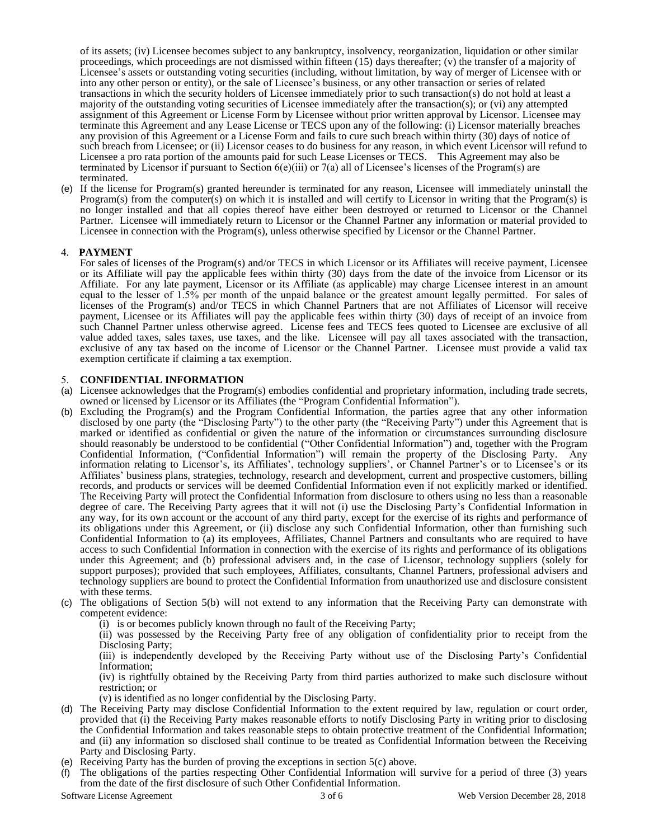of its assets; (iv) Licensee becomes subject to any bankruptcy, insolvency, reorganization, liquidation or other similar proceedings, which proceedings are not dismissed within fifteen (15) days thereafter; (v) the transfer of a majority of Licensee's assets or outstanding voting securities (including, without limitation, by way of merger of Licensee with or into any other person or entity), or the sale of Licensee's business, or any other transaction or series of related transactions in which the security holders of Licensee immediately prior to such transaction(s) do not hold at least a majority of the outstanding voting securities of Licensee immediately after the transaction(s); or (vi) any attempted assignment of this Agreement or License Form by Licensee without prior written approval by Licensor. Licensee may terminate this Agreement and any Lease License or TECS upon any of the following: (i) Licensor materially breaches any provision of this Agreement or a License Form and fails to cure such breach within thirty (30) days of notice of such breach from Licensee; or (ii) Licensor ceases to do business for any reason, in which event Licensor will refund to Licensee a pro rata portion of the amounts paid for such Lease Licenses or TECS. This Agreement may also be terminated by Licensor if pursuant to Section  $6(e)$ (iii) or  $7(a)$  all of Licensee's licenses of the Program(s) are terminated.

(e) If the license for Program(s) granted hereunder is terminated for any reason, Licensee will immediately uninstall the Program(s) from the computer(s) on which it is installed and will certify to Licensor in writing that the Program(s) is no longer installed and that all copies thereof have either been destroyed or returned to Licensor or the Channel Partner. Licensee will immediately return to Licensor or the Channel Partner any information or material provided to Licensee in connection with the Program(s), unless otherwise specified by Licensor or the Channel Partner.

# 4. **PAYMENT**

For sales of licenses of the Program(s) and/or TECS in which Licensor or its Affiliates will receive payment, Licensee or its Affiliate will pay the applicable fees within thirty (30) days from the date of the invoice from Licensor or its Affiliate. For any late payment, Licensor or its Affiliate (as applicable) may charge Licensee interest in an amount equal to the lesser of 1.5% per month of the unpaid balance or the greatest amount legally permitted. For sales of licenses of the Program(s) and/or TECS in which Channel Partners that are not Affiliates of Licensor will receive payment, Licensee or its Affiliates will pay the applicable fees within thirty (30) days of receipt of an invoice from such Channel Partner unless otherwise agreed. License fees and TECS fees quoted to Licensee are exclusive of all value added taxes, sales taxes, use taxes, and the like. Licensee will pay all taxes associated with the transaction, exclusive of any tax based on the income of Licensor or the Channel Partner. Licensee must provide a valid tax exemption certificate if claiming a tax exemption.

# 5. **CONFIDENTIAL INFORMATION**

- (a) Licensee acknowledges that the Program(s) embodies confidential and proprietary information, including trade secrets, owned or licensed by Licensor or its Affiliates (the "Program Confidential Information").
- (b) Excluding the Program(s) and the Program Confidential Information, the parties agree that any other information disclosed by one party (the "Disclosing Party") to the other party (the "Receiving Party") under this Agreement that is marked or identified as confidential or given the nature of the information or circumstances surrounding disclosure should reasonably be understood to be confidential ("Other Confidential Information") and, together with the Program Confidential Information, ("Confidential Information") will remain the property of the Disclosing Party. Any information relating to Licensor's, its Affiliates', technology suppliers', or Channel Partner's or to Licensee's or its Affiliates' business plans, strategies, technology, research and development, current and prospective customers, billing records, and products or services will be deemed Confidential Information even if not explicitly marked or identified. The Receiving Party will protect the Confidential Information from disclosure to others using no less than a reasonable degree of care. The Receiving Party agrees that it will not (i) use the Disclosing Party's Confidential Information in any way, for its own account or the account of any third party, except for the exercise of its rights and performance of its obligations under this Agreement, or (ii) disclose any such Confidential Information, other than furnishing such Confidential Information to (a) its employees, Affiliates, Channel Partners and consultants who are required to have access to such Confidential Information in connection with the exercise of its rights and performance of its obligations under this Agreement; and (b) professional advisers and, in the case of Licensor, technology suppliers (solely for support purposes); provided that such employees, Affiliates, consultants, Channel Partners, professional advisers and technology suppliers are bound to protect the Confidential Information from unauthorized use and disclosure consistent with these terms.
- (c) The obligations of Section 5(b) will not extend to any information that the Receiving Party can demonstrate with competent evidence:
	- (i) is or becomes publicly known through no fault of the Receiving Party;

(ii) was possessed by the Receiving Party free of any obligation of confidentiality prior to receipt from the Disclosing Party;

(iii) is independently developed by the Receiving Party without use of the Disclosing Party's Confidential Information;

(iv) is rightfully obtained by the Receiving Party from third parties authorized to make such disclosure without restriction; or

(v) is identified as no longer confidential by the Disclosing Party.

- (d) The Receiving Party may disclose Confidential Information to the extent required by law, regulation or court order, provided that (i) the Receiving Party makes reasonable efforts to notify Disclosing Party in writing prior to disclosing the Confidential Information and takes reasonable steps to obtain protective treatment of the Confidential Information; and (ii) any information so disclosed shall continue to be treated as Confidential Information between the Receiving Party and Disclosing Party.
- (e) Receiving Party has the burden of proving the exceptions in section 5(c) above.
- (f) The obligations of the parties respecting Other Confidential Information will survive for a period of three (3) years from the date of the first disclosure of such Other Confidential Information.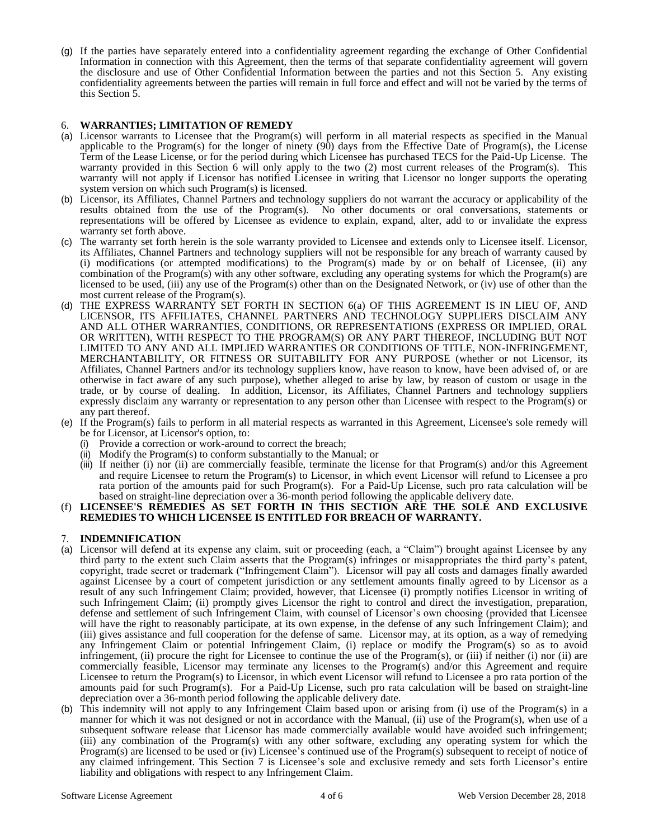(g) If the parties have separately entered into a confidentiality agreement regarding the exchange of Other Confidential Information in connection with this Agreement, then the terms of that separate confidentiality agreement will govern the disclosure and use of Other Confidential Information between the parties and not this Section 5. Any existing confidentiality agreements between the parties will remain in full force and effect and will not be varied by the terms of this Section 5.

# 6. **WARRANTIES; LIMITATION OF REMEDY**

- (a) Licensor warrants to Licensee that the Program(s) will perform in all material respects as specified in the Manual applicable to the Program(s) for the longer of ninety  $(90)$  days from the Effective Date of Program(s), the License Term of the Lease License, or for the period during which Licensee has purchased TECS for the Paid-Up License. The warranty provided in this Section 6 will only apply to the two (2) most current releases of the Program(s). This warranty will not apply if Licensor has notified Licensee in writing that Licensor no longer supports the operating system version on which such Program(s) is licensed.
- (b) Licensor, its Affiliates, Channel Partners and technology suppliers do not warrant the accuracy or applicability of the results obtained from the use of the Program(s). No other documents or oral conversations, statements or representations will be offered by Licensee as evidence to explain, expand, alter, add to or invalidate the express warranty set forth above.
- (c) The warranty set forth herein is the sole warranty provided to Licensee and extends only to Licensee itself. Licensor, its Affiliates, Channel Partners and technology suppliers will not be responsible for any breach of warranty caused by (i) modifications (or attempted modifications) to the Program(s) made by or on behalf of Licensee, (ii) any combination of the Program(s) with any other software, excluding any operating systems for which the Program(s) are licensed to be used, (iii) any use of the Program(s) other than on the Designated Network, or (iv) use of other than the most current release of the Program(s).
- (d) THE EXPRESS WARRANTY SET FORTH IN SECTION 6(a) OF THIS AGREEMENT IS IN LIEU OF, AND LICENSOR, ITS AFFILIATES, CHANNEL PARTNERS AND TECHNOLOGY SUPPLIERS DISCLAIM ANY AND ALL OTHER WARRANTIES, CONDITIONS, OR REPRESENTATIONS (EXPRESS OR IMPLIED, ORAL OR WRITTEN), WITH RESPECT TO THE PROGRAM(S) OR ANY PART THEREOF, INCLUDING BUT NOT LIMITED TO ANY AND ALL IMPLIED WARRANTIES OR CONDITIONS OF TITLE, NON-INFRINGEMENT, MERCHANTABILITY, OR FITNESS OR SUITABILITY FOR ANY PURPOSE (whether or not Licensor, its Affiliates, Channel Partners and/or its technology suppliers know, have reason to know, have been advised of, or are otherwise in fact aware of any such purpose), whether alleged to arise by law, by reason of custom or usage in the trade, or by course of dealing. In addition, Licensor, its Affiliates, Channel Partners and technology suppliers expressly disclaim any warranty or representation to any person other than Licensee with respect to the Program(s) or any part thereof.
- (e) If the Program(s) fails to perform in all material respects as warranted in this Agreement, Licensee's sole remedy will be for Licensor, at Licensor's option, to:
	- (i) Provide a correction or work-around to correct the breach;
	- (ii) Modify the Program(s) to conform substantially to the Manual; or
	- (iii) If neither (i) nor (ii) are commercially feasible, terminate the license for that Program(s) and/or this Agreement and require Licensee to return the Program(s) to Licensor, in which event Licensor will refund to Licensee a pro rata portion of the amounts paid for such Program(s). For a Paid-Up License, such pro rata calculation will be based on straight-line depreciation over a 36-month period following the applicable delivery date.

#### (f) **LICENSEE'S REMEDIES AS SET FORTH IN THIS SECTION ARE THE SOLE AND EXCLUSIVE REMEDIES TO WHICH LICENSEE IS ENTITLED FOR BREACH OF WARRANTY.**

# 7. **INDEMNIFICATION**

- (a) Licensor will defend at its expense any claim, suit or proceeding (each, a "Claim") brought against Licensee by any third party to the extent such Claim asserts that the Program(s) infringes or misappropriates the third party's patent, copyright, trade secret or trademark ("Infringement Claim"). Licensor will pay all costs and damages finally awarded against Licensee by a court of competent jurisdiction or any settlement amounts finally agreed to by Licensor as a result of any such Infringement Claim; provided, however, that Licensee (i) promptly notifies Licensor in writing of such Infringement Claim; (ii) promptly gives Licensor the right to control and direct the investigation, preparation, defense and settlement of such Infringement Claim, with counsel of Licensor's own choosing (provided that Licensee will have the right to reasonably participate, at its own expense, in the defense of any such Infringement Claim); and (iii) gives assistance and full cooperation for the defense of same. Licensor may, at its option, as a way of remedying any Infringement Claim or potential Infringement Claim, (i) replace or modify the Program(s) so as to avoid infringement, (ii) procure the right for Licensee to continue the use of the Program(s), or (iii) if neither (i) nor (ii) are commercially feasible, Licensor may terminate any licenses to the Program(s) and/or this Agreement and require Licensee to return the Program(s) to Licensor, in which event Licensor will refund to Licensee a pro rata portion of the amounts paid for such Program(s). For a Paid-Up License, such pro rata calculation will be based on straight-line depreciation over a 36-month period following the applicable delivery date.
- (b) This indemnity will not apply to any Infringement Claim based upon or arising from (i) use of the Program(s) in a manner for which it was not designed or not in accordance with the Manual, (ii) use of the Program(s), when use of a subsequent software release that Licensor has made commercially available would have avoided such infringement; (iii) any combination of the Program(s) with any other software, excluding any operating system for which the Program(s) are licensed to be used or (iv) Licensee's continued use of the Program(s) subsequent to receipt of notice of any claimed infringement. This Section 7 is Licensee's sole and exclusive remedy and sets forth Licensor's entire liability and obligations with respect to any Infringement Claim.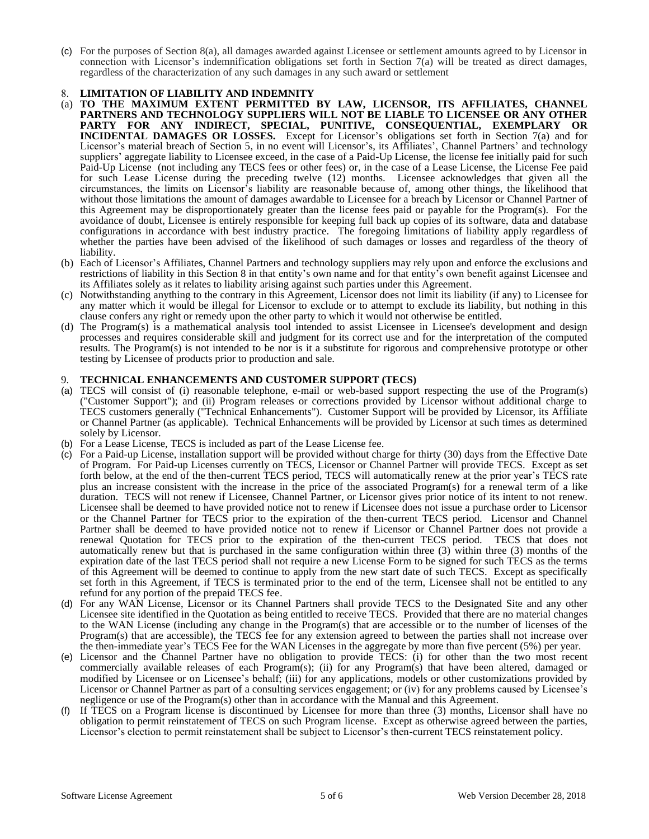(c) For the purposes of Section 8(a), all damages awarded against Licensee or settlement amounts agreed to by Licensor in connection with Licensor's indemnification obligations set forth in Section 7(a) will be treated as direct damages, regardless of the characterization of any such damages in any such award or settlement

# 8. **LIMITATION OF LIABILITY AND INDEMNITY**

- (a) **TO THE MAXIMUM EXTENT PERMITTED BY LAW, LICENSOR, ITS AFFILIATES, CHANNEL PARTNERS AND TECHNOLOGY SUPPLIERS WILL NOT BE LIABLE TO LICENSEE OR ANY OTHER PARTY FOR ANY INDIRECT, SPECIAL, PUNITIVE, CONSEQUENTIAL, EXEMPLARY OR INCIDENTAL DAMAGES OR LOSSES.** Except for Licensor's obligations set forth in Section 7(a) and for Licensor's material breach of Section 5, in no event will Licensor's, its Affiliates', Channel Partners' and technology suppliers' aggregate liability to Licensee exceed, in the case of a Paid-Up License, the license fee initially paid for such Paid-Up License (not including any TECS fees or other fees) or, in the case of a Lease License, the License Fee paid for such Lease License during the preceding twelve (12) months. Licensee acknowledges that given all the circumstances, the limits on Licensor's liability are reasonable because of, among other things, the likelihood that without those limitations the amount of damages awardable to Licensee for a breach by Licensor or Channel Partner of this Agreement may be disproportionately greater than the license fees paid or payable for the Program(s). For the avoidance of doubt, Licensee is entirely responsible for keeping full back up copies of its software, data and database configurations in accordance with best industry practice. The foregoing limitations of liability apply regardless of whether the parties have been advised of the likelihood of such damages or losses and regardless of the theory of liability.
- (b) Each of Licensor's Affiliates, Channel Partners and technology suppliers may rely upon and enforce the exclusions and restrictions of liability in this Section 8 in that entity's own name and for that entity's own benefit against Licensee and its Affiliates solely as it relates to liability arising against such parties under this Agreement.
- (c) Notwithstanding anything to the contrary in this Agreement, Licensor does not limit its liability (if any) to Licensee for any matter which it would be illegal for Licensor to exclude or to attempt to exclude its liability, but nothing in this clause confers any right or remedy upon the other party to which it would not otherwise be entitled.
- (d) The Program(s) is a mathematical analysis tool intended to assist Licensee in Licensee's development and design processes and requires considerable skill and judgment for its correct use and for the interpretation of the computed results. The Program(s) is not intended to be nor is it a substitute for rigorous and comprehensive prototype or other testing by Licensee of products prior to production and sale.

# 9. **TECHNICAL ENHANCEMENTS AND CUSTOMER SUPPORT (TECS)**

- (a) TECS will consist of (i) reasonable telephone, e-mail or web-based support respecting the use of the Program(s) ("Customer Support"); and (ii) Program releases or corrections provided by Licensor without additional charge to TECS customers generally ("Technical Enhancements"). Customer Support will be provided by Licensor, its Affiliate or Channel Partner (as applicable). Technical Enhancements will be provided by Licensor at such times as determined solely by Licensor.
- (b) For a Lease License, TECS is included as part of the Lease License fee.
- (c) For a Paid-up License, installation support will be provided without charge for thirty (30) days from the Effective Date of Program. For Paid-up Licenses currently on TECS, Licensor or Channel Partner will provide TECS. Except as set forth below, at the end of the then-current TECS period, TECS will automatically renew at the prior year's TECS rate plus an increase consistent with the increase in the price of the associated Program(s) for a renewal term of a like duration. TECS will not renew if Licensee, Channel Partner, or Licensor gives prior notice of its intent to not renew. Licensee shall be deemed to have provided notice not to renew if Licensee does not issue a purchase order to Licensor or the Channel Partner for TECS prior to the expiration of the then-current TECS period. Licensor and Channel Partner shall be deemed to have provided notice not to renew if Licensor or Channel Partner does not provide a renewal Quotation for TECS prior to the expiration of the then-current TECS period. TECS that does not automatically renew but that is purchased in the same configuration within three (3) within three (3) months of the expiration date of the last TECS period shall not require a new License Form to be signed for such TECS as the terms of this Agreement will be deemed to continue to apply from the new start date of such TECS. Except as specifically set forth in this Agreement, if TECS is terminated prior to the end of the term, Licensee shall not be entitled to any refund for any portion of the prepaid TECS fee.
- (d) For any WAN License, Licensor or its Channel Partners shall provide TECS to the Designated Site and any other Licensee site identified in the Quotation as being entitled to receive TECS. Provided that there are no material changes to the WAN License (including any change in the Program(s) that are accessible or to the number of licenses of the Program(s) that are accessible), the TECS fee for any extension agreed to between the parties shall not increase over the then-immediate year's TECS Fee for the WAN Licenses in the aggregate by more than five percent (5%) per year.
- (e) Licensor and the Channel Partner have no obligation to provide TECS: (i) for other than the two most recent commercially available releases of each Program(s); (ii) for any Program(s) that have been altered, damaged or modified by Licensee or on Licensee's behalf; (iii) for any applications, models or other customizations provided by Licensor or Channel Partner as part of a consulting services engagement; or (iv) for any problems caused by Licensee's negligence or use of the Program(s) other than in accordance with the Manual and this Agreement.
- (f) If TECS on a Program license is discontinued by Licensee for more than three (3) months, Licensor shall have no obligation to permit reinstatement of TECS on such Program license. Except as otherwise agreed between the parties, Licensor's election to permit reinstatement shall be subject to Licensor's then-current TECS reinstatement policy.